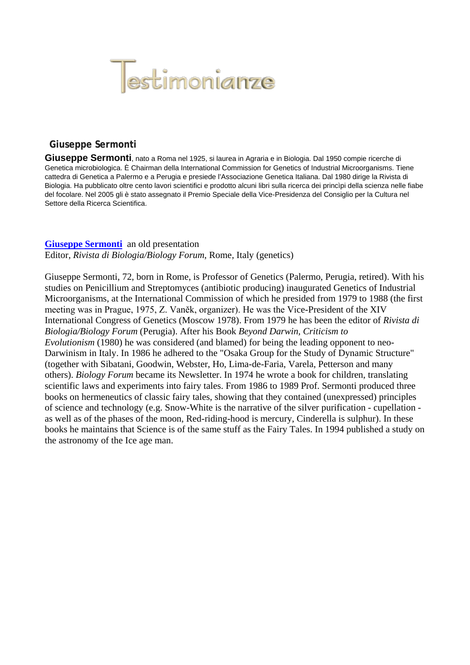

#### **Giuseppe Sermonti**

**Giuseppe Sermonti**, nato a Roma nel 1925, si laurea in Agraria e in Biologia. Dal 1950 compie ricerche di Genetica microbiologica. È Chairman della International Commission for Genetics of Industrial Microorganisms. Tiene cattedra di Genetica a Palermo e a Perugia e presiede l'Associazione Genetica Italiana. Dal 1980 dirige la Rivista di Biologia. Ha pubblicato oltre cento lavori scientifici e prodotto alcuni libri sulla ricerca dei princìpi della scienza nelle fiabe del focolare. Nel 2005 gli è stato assegnato il Premio Speciale della Vice-Presidenza del Consiglio per la Cultura nel Settore della Ricerca Scientifica.

#### **[Giuseppe Sermonti](http://www.cts.cuni.cz/conf98/sermonti.htm#Sermonti)** an old presentation

Editor, *Rivista di Biologia/Biology Forum*, Rome, Italy (genetics)

Giuseppe Sermonti, 72, born in Rome, is Professor of Genetics (Palermo, Perugia, retired). With his studies on Penicillium and Streptomyces (antibiotic producing) inaugurated Genetics of Industrial Microorganisms, at the International Commission of which he presided from 1979 to 1988 (the first meeting was in Prague, 1975, Z. Vaněk, organizer). He was the Vice-President of the XIV International Congress of Genetics (Moscow 1978). From 1979 he has been the editor of *Rivista di Biologia/Biology Forum* (Perugia). After his Book *Beyond Darwin, Criticism to Evolutionism* (1980) he was considered (and blamed) for being the leading opponent to neo-Darwinism in Italy. In 1986 he adhered to the "Osaka Group for the Study of Dynamic Structure" (together with Sibatani, Goodwin, Webster, Ho, Lima-de-Faria, Varela, Petterson and many others). *Biology Forum* became its Newsletter. In 1974 he wrote a book for children, translating scientific laws and experiments into fairy tales. From 1986 to 1989 Prof. Sermonti produced three books on hermeneutics of classic fairy tales, showing that they contained (unexpressed) principles of science and technology (e.g. Snow-White is the narrative of the silver purification - cupellation as well as of the phases of the moon, Red-riding-hood is mercury, Cinderella is sulphur). In these books he maintains that Science is of the same stuff as the Fairy Tales. In 1994 published a study on the astronomy of the Ice age man.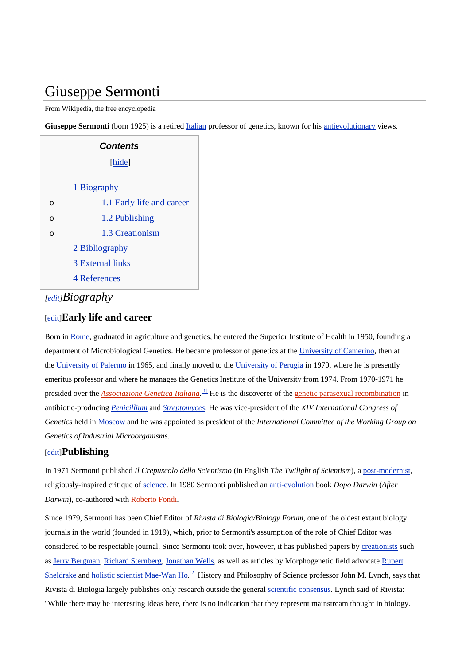# Giuseppe Sermonti

From Wikipedia, the free encyclopedia

Giuseppe Sermonti (born 1925) is a retired [Italian](http://en.wikipedia.org/wiki/Italy) professor of genetics, known for his [antievolutionary](http://en.wikipedia.org/wiki/Antievolution) views.

|                 | <b>Contents</b>           |
|-----------------|---------------------------|
|                 | [hide]                    |
|                 | 1 Biography               |
| O               | 1.1 Early life and career |
| O               | 1.2 Publishing            |
| O               | 1.3 Creationism           |
|                 | 2 Bibliography            |
|                 | <b>3 External links</b>   |
|                 | <b>4 References</b>       |
| [edit]Biography |                           |

#### [\[edit\]](http://en.wikipedia.org/w/index.php?title=Giuseppe_Sermonti&action=edit§ion=2) **Early life and career**

Born in [Rome,](http://en.wikipedia.org/wiki/Rome) graduated in agriculture and genetics, he entered the Superior Institute of Health in 1950, founding a department of Microbiological Genetics. He became professor of genetics at the [University of Camerino,](http://en.wikipedia.org/wiki/University_of_Camerino) then at the [University of Palermo](http://en.wikipedia.org/wiki/University_of_Palermo) in 1965, and finally moved to the [University of Perugia](http://en.wikipedia.org/wiki/University_of_Perugia) in 1970, where he is presently emeritus professor and where he manages the Genetics Institute of the University from 1974. From 1970-1971 he presided over the *[Associazione Genetica Italiana](http://en.wikipedia.org/w/index.php?title=Associazione_Genetica_Italiana&action=edit&redlink=1)*.<sup>[\[1\]](http://en.wikipedia.org/wiki/Giuseppe_Sermonti#cite_note-0#cite_note-0)</sup> He is the discoverer of the *[genetic parasexual recombination](http://en.wikipedia.org/w/index.php?title=Genetic_parasexual_recombination&action=edit&redlink=1)* in antibiotic-producing *[Penicillium](http://en.wikipedia.org/wiki/Penicillium)* and *[Streptomyces](http://en.wikipedia.org/wiki/Streptomyces)*. He was vice-president of the *XIV International Congress of Genetics* held in [Moscow](http://en.wikipedia.org/wiki/Moscow) and he was appointed as president of the *International Committee of the Working Group on Genetics of Industrial Microorganisms*.

#### [\[edit\]](http://en.wikipedia.org/w/index.php?title=Giuseppe_Sermonti&action=edit§ion=3) **Publishing**

In 1971 Sermonti published *Il Crepuscolo dello Scientismo* (in English *The Twilight of Scientism*), a [post-modernist,](http://en.wikipedia.org/wiki/Post-modernist) religiously-inspired critique of [science.](http://en.wikipedia.org/wiki/Science) In 1980 Sermonti published an [anti-evolution](http://en.wikipedia.org/wiki/Evolution) book *Dopo Darwin* (*After Darwin*), co-authored with [Roberto Fondi.](http://en.wikipedia.org/w/index.php?title=Roberto_Fondi&action=edit&redlink=1)

Since 1979, Sermonti has been Chief Editor of *Rivista di Biologia/Biology Forum*, one of the oldest extant biology journals in the world (founded in 1919), which, prior to Sermonti's assumption of the role of Chief Editor was considered to be respectable journal. Since Sermonti took over, however, it has published papers by [creationists](http://en.wikipedia.org/wiki/Creationist) such as [Jerry Bergman,](http://en.wikipedia.org/wiki/Jerry_Bergman) [Richard Sternberg,](http://en.wikipedia.org/wiki/Richard_Sternberg) [Jonathan Wells,](http://en.wikipedia.org/wiki/Jonathan_Wells_(intelligent_design_advocate)) as well as articles by Morphogenetic field advocate [Rupert](http://en.wikipedia.org/wiki/Rupert_Sheldrake)  [Sheldrake](http://en.wikipedia.org/wiki/Rupert_Sheldrake) and [holistic scientist](http://en.wikipedia.org/wiki/Holism_in_science) [Mae-Wan Ho.](http://en.wikipedia.org/wiki/Mae-Wan_Ho)<sup>[\[2\]](http://en.wikipedia.org/wiki/Giuseppe_Sermonti#cite_note-1#cite_note-1)</sup> History and Philosophy of Science professor John M. Lynch, says that Rivista di Biologia largely publishes only research outside the general [scientific consensus.](http://en.wikipedia.org/wiki/Scientific_consensus) Lynch said of Rivista: "While there may be interesting ideas here, there is no indication that they represent mainstream thought in biology.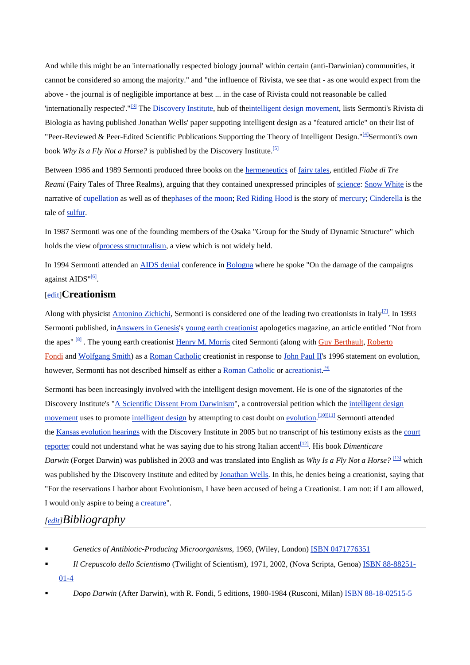And while this might be an 'internationally respected biology journal' within certain (anti-Darwinian) communities, it cannot be considered so among the majority." and "the influence of Rivista, we see that - as one would expect from the above - the journal is of negligible importance at best ... in the case of Rivista could not reasonable be called 'internationally respected'."[\[3\]](http://en.wikipedia.org/wiki/Giuseppe_Sermonti#cite_note-stranger_fruit-2#cite_note-stranger_fruit-2) The [Discovery Institute,](http://en.wikipedia.org/wiki/Discovery_Institute) hub of th[eintelligent design movement,](http://en.wikipedia.org/wiki/Intelligent_design_movement) lists Sermonti's Rivista di Biologia as having published Jonathan Wells' paper suppoting intelligent design as a "featured article" on their list of "Peer-Reviewed & Peer-Edited Scientific Publications Supporting the Theory of Intelligent Design." $[4]$ Sermonti's own book *Why Is a Fly Not a Horse?* is published by the Discovery Institute.<sup>[\[5\]](http://en.wikipedia.org/wiki/Giuseppe_Sermonti#cite_note-4#cite_note-4)</sup>

Between 1986 and 1989 Sermonti produced three books on the [hermeneutics](http://en.wikipedia.org/wiki/Hermeneutics) of [fairy tales,](http://en.wikipedia.org/wiki/Fairy_tale) entitled *Fiabe di Tre Reami* (Fairy Tales of Three Realms), arguing that they contained unexpressed principles of [science:](http://en.wikipedia.org/wiki/Science) [Snow White](http://en.wikipedia.org/wiki/Snow_White) is the narrative of [cupellation](http://en.wikipedia.org/wiki/Cupellation) as well as of th[ephases of the moon;](http://en.wikipedia.org/wiki/Phases_of_the_moon) [Red Riding Hood](http://en.wikipedia.org/wiki/Red_Riding_Hood) is the story of [mercury;](http://en.wikipedia.org/wiki/Mercury_(element)) [Cinderella](http://en.wikipedia.org/wiki/Cinderella) is the tale of [sulfur.](http://en.wikipedia.org/wiki/Sulfur)

In 1987 Sermonti was one of the founding members of the Osaka "Group for the Study of Dynamic Structure" which holds the view o[fprocess structuralism,](http://en.wikipedia.org/wiki/Process_structuralism) a view which is not widely held.

In 1994 Sermonti attended an [AIDS denial](http://en.wikipedia.org/wiki/AIDS_denial) conference in [Bologna](http://en.wikipedia.org/wiki/Bologna) where he spoke "On the damage of the campaigns against  $AIDS$ <sup>"[6]</sup>.

#### [\[edit\]](http://en.wikipedia.org/w/index.php?title=Giuseppe_Sermonti&action=edit§ion=4) **Creationism**

Along with physicist **Antonino Zichichi**, Sermonti is considered one of the leading two creationists in Italy<sup>[2]</sup>. In 1993 Sermonti published, i[nAnswers in Genesis's](http://en.wikipedia.org/wiki/Answers_in_Genesis) [young earth creationist](http://en.wikipedia.org/wiki/Young_earth_creationist) apologetics magazine, an article entitled "Not from the apes"<sup>[\[8\]](http://en.wikipedia.org/wiki/Giuseppe_Sermonti#cite_note-7#cite_note-7)</sup>. The young earth creationist [Henry M. Morris](http://en.wikipedia.org/wiki/Henry_M._Morris) cited Sermonti (along with [Guy Berthault,](http://en.wikipedia.org/w/index.php?title=Guy_Berthault&action=edit&redlink=1) Roberto [Fondi](http://en.wikipedia.org/w/index.php?title=Roberto_Fondi&action=edit&redlink=1) and [Wolfgang Smith\)](http://en.wikipedia.org/wiki/Wolfgang_Smith) as a [Roman Catholic](http://en.wikipedia.org/wiki/Roman_Catholic) creationist in response to [John Paul II's](http://en.wikipedia.org/wiki/John_Paul_II) 1996 statement on evolution, however, Sermonti has not described himself as either a **[Roman Catholic](http://en.wikipedia.org/wiki/Roman_Catholic)** or [acreationist.](http://en.wikipedia.org/wiki/Creationist)<sup>[\[9\]](http://en.wikipedia.org/wiki/Giuseppe_Sermonti#cite_note-8#cite_note-8)</sup>

Sermonti has been increasingly involved with the intelligent design movement. He is one of the signatories of the Discovery Institute's ["A Scientific Dissent From Darwinism"](http://en.wikipedia.org/wiki/A_Scientific_Dissent_From_Darwinism), a controversial petition which the [intelligent design](http://en.wikipedia.org/wiki/Intelligent_design_movement)  [movement](http://en.wikipedia.org/wiki/Intelligent_design_movement) uses to promote [intelligent design](http://en.wikipedia.org/wiki/Intelligent_design) by attempting to cast doubt on [evolution.](http://en.wikipedia.org/wiki/Evolution)<sup>[10[\]\[11\]](http://en.wikipedia.org/wiki/Giuseppe_Sermonti#cite_note-NYT-9#cite_note-NYT-9)</sup> Sermonti attended the [Kansas evolution hearings](http://en.wikipedia.org/wiki/Kansas_evolution_hearings) with the Discovery Institute in 2005 but no transcript of his testimony exists as the [court](http://en.wikipedia.org/wiki/Court_reporter)  [reporter](http://en.wikipedia.org/wiki/Court_reporter) could not understand what he was saying due to his strong Italian accent<sup>[12]</sup>. His book *Dimenticare Darwin* (Forget Darwin) was published in 2003 and was translated into English as *Why Is a Fly Not a Horse?* [\[13\]](http://en.wikipedia.org/wiki/Giuseppe_Sermonti#cite_note-12#cite_note-12) which was published by the Discovery Institute and edited by [Jonathan Wells.](http://en.wikipedia.org/wiki/Jonathan_Wells_(intelligent_design_advocate)) In this, he denies being a creationist, saying that "For the reservations I harbor about Evolutionism, I have been accused of being a Creationist. I am not: if I am allowed, I would only aspire to being a [creature"](http://en.wikipedia.org/wiki/Creature).

# *[\[edit\]](http://en.wikipedia.org/w/index.php?title=Giuseppe_Sermonti&action=edit§ion=5) Bibliography*

- **Face 3 Genetics of Antibiotic-Producing Microorganisms, 1969, (Wiley, London)** [ISBN 0471776351](http://en.wikipedia.org/wiki/Special:BookSources/0471776351)
- *Il Crepuscolo dello Scientismo* (Twilight of Scientism), 1971, 2002, (Nova Scripta, Genoa) [ISBN 88-88251-](http://en.wikipedia.org/wiki/Special:BookSources/8888251014) [01-4](http://en.wikipedia.org/wiki/Special:BookSources/8888251014)
- *Dopo Darwin* (After Darwin), with R. Fondi, 5 editions, 1980-1984 (Rusconi, Milan) [ISBN 88-18-02515-5](http://en.wikipedia.org/wiki/Special:BookSources/8818025155)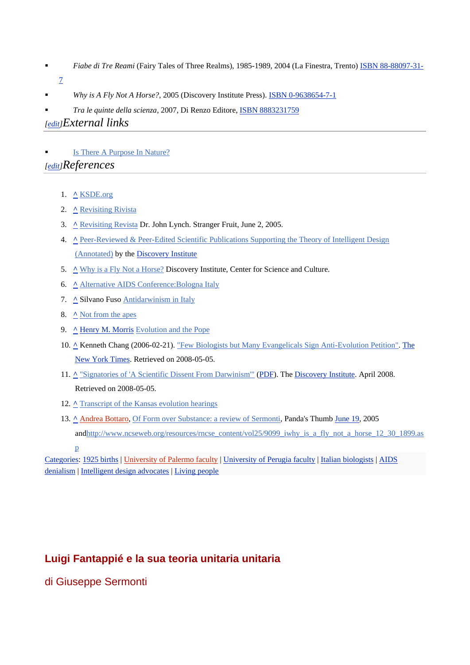- *Fiabe di Tre Reami* (Fairy Tales of Three Realms), 1985-1989, 2004 (La Finestra, Trento) [ISBN 88-88097-31-](http://en.wikipedia.org/wiki/Special:BookSources/8888097317)
- [7](http://en.wikipedia.org/wiki/Special:BookSources/8888097317)
- *Why is A Fly Not A Horse?*, 2005 (Discovery Institute Press). **[ISBN 0-9638654-7-1](http://en.wikipedia.org/wiki/Special:BookSources/0963865471)**
- *Tra le quinte della scienza*, 2007, Di Renzo Editore, [ISBN 8883231759](http://en.wikipedia.org/wiki/Special:BookSources/8883231759)

# *[\[edit\]](http://en.wikipedia.org/w/index.php?title=Giuseppe_Sermonti&action=edit§ion=6) External links*

: [Is There A Purpose In Nature?](http://www.cts.cuni.cz/conf98/sermonti.htm)

# *[\[edit\]](http://en.wikipedia.org/w/index.php?title=Giuseppe_Sermonti&action=edit§ion=7) References*

- 1. **[^](http://en.wikipedia.org/wiki/Giuseppe_Sermonti#cite_ref-0#cite_ref-0)** [KSDE.org](http://www.ksde.org/outcomes/sceptcvsermonti.pdf#search=)
- 2. **[^](http://en.wikipedia.org/wiki/Giuseppe_Sermonti#cite_ref-1#cite_ref-1)** [Revisiting Rivista](http://darwin.bc.asu.edu/blog/?p=351)
- 3. **[^](http://en.wikipedia.org/wiki/Giuseppe_Sermonti#cite_ref-stranger_fruit_2-0#cite_ref-stranger_fruit_2-0)** [Revisiting Revista](http://scienceblogs.com/strangerfruit/2007/02/revisiting_rivista.php) Dr. John Lynch. Stranger Fruit, June 2, 2005.
- 4. <u>A Peer-Reviewed & Peer-Edited Scientific Publications Supporting the Theory of Intelligent Design</u> [\(Annotated\)](http://www.discovery.org/scripts/viewDB/index.php?command=view&program=DI%20Main%20Page%20-%20News&id=2640) by the [Discovery Institute](http://en.wikipedia.org/wiki/Discovery_Institute)
- 5. <u>A [Why is a Fly Not a Horse?](http://www.discovery.org/scripts/viewDB/index.php?command=view&program=Book%20-%20CSC&id=3607)</u> Discovery Institute, Center for Science and Culture.
- 6. **[^](http://en.wikipedia.org/wiki/Giuseppe_Sermonti#cite_ref-5#cite_ref-5)** [Alternative AIDS Conference:Bologna Italy](http://www.aidsinfobbs.org/openforum/forum14/6633)
- 7. **[^](http://en.wikipedia.org/wiki/Giuseppe_Sermonti#cite_ref-6#cite_ref-6)** Silvano Fuso [Antidarwinism in Italy](http://www.cicap.org/en_artic/at101152.htm)
- 8. **[^](http://en.wikipedia.org/wiki/Giuseppe_Sermonti#cite_ref-7#cite_ref-7)** [Not from the apes](http://www.answersingenesis.org/creation/v15/i3/apes.asp)
- 9. **[^](http://en.wikipedia.org/wiki/Giuseppe_Sermonti#cite_ref-8#cite_ref-8)** [Henry M. Morris](http://en.wikipedia.org/wiki/Henry_M._Morris) [Evolution and the Pope](http://www.bible.ca/tracks/b-pope-accepts-evolution.htm)
- 10. **[^](http://en.wikipedia.org/wiki/Giuseppe_Sermonti#cite_ref-NYT_9-0#cite_ref-NYT_9-0)** Kenneth Chang (2006-02-21). ["Few Biologists but Many Evangelicals Sign Anti-Evolution Petition".](http://www.nytimes.com/2006/02/21/science/sciencespecial2/21peti.html?ex=1298178000&en=de5bd718715864a0&ei=5088&partner=rssnyt&emc=rss) [The](http://en.wikipedia.org/wiki/The_New_York_Times)  [New York Times.](http://en.wikipedia.org/wiki/The_New_York_Times) Retrieved on 2008-05-05.
- 11. **[^](http://en.wikipedia.org/wiki/Giuseppe_Sermonti#cite_ref-10#cite_ref-10)** "Signatories [of 'A Scientific Dissent From Darwinism'"](http://www.discovery.org/scripts/viewDB/filesDB-download.php?command=download&id=660) [\(PDF\)](http://en.wikipedia.org/wiki/PDF). The [Discovery Institute.](http://en.wikipedia.org/wiki/Discovery_Institute) April 2008. Retrieved on 2008-05-05 .
- 12. <u>A [Transcript of the Kansas evolution hearings](http://www.talkorigins.org/faqs/kansas/kangaroo2.html#p1096)</u>
- 13. **[^](http://en.wikipedia.org/wiki/Giuseppe_Sermonti#cite_ref-12#cite_ref-12)** [Andrea Bottaro,](http://en.wikipedia.org/w/index.php?title=Andrea_Bottaro&action=edit&redlink=1) [Of Form over Substance: a review of Sermonti,](http://www.pandasthumb.org/archives/2005/06/of_form_over_su.html) Panda's Thumb [June 19,](http://en.wikipedia.org/wiki/June_19) 2005 an[dhttp://www.ncseweb.org/resources/rncse\\_content/vol25/9099\\_iwhy\\_is\\_a\\_fly\\_not\\_a\\_horse\\_12\\_30\\_1899.as](http://www.ncseweb.org/resources/rncse_content/vol25/9099_iwhy_is_a_fly_not_a_horse_12_30_1899.asp)

# **Luigi Fantappié e la sua teoria unitaria unitaria**

di Giuseppe Sermonti

[p](http://www.ncseweb.org/resources/rncse_content/vol25/9099_iwhy_is_a_fly_not_a_horse_12_30_1899.asp)

[Categories:](http://en.wikipedia.org/wiki/Special:Categories) [1925 births](http://en.wikipedia.org/wiki/Category:1925_births) | [University of Palermo faculty](http://en.wikipedia.org/w/index.php?title=Category:University_of_Palermo_faculty&action=edit&redlink=1) | [University of Perugia faculty](http://en.wikipedia.org/wiki/Category:University_of_Perugia_faculty) | [Italian biologists](http://en.wikipedia.org/wiki/Category:Italian_biologists) | [AIDS](http://en.wikipedia.org/wiki/Category:AIDS_denialism)  [denialism](http://en.wikipedia.org/wiki/Category:AIDS_denialism) | [Intelligent design advocates](http://en.wikipedia.org/wiki/Category:Intelligent_design_advocates) | [Living people](http://en.wikipedia.org/wiki/Category:Living_people)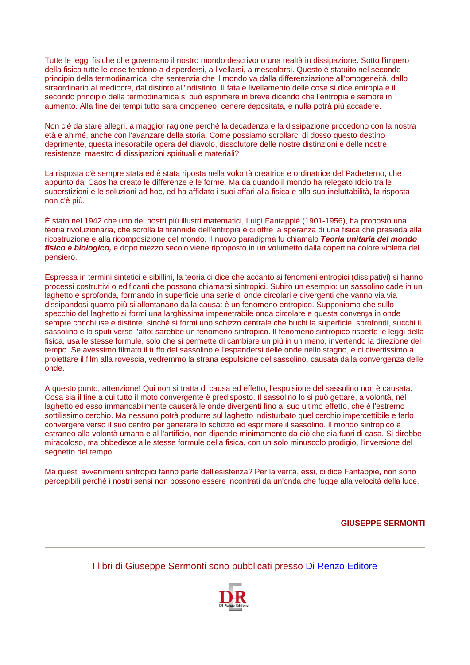Tutte le leggi fisiche che governano il nostro mondo descrivono una realtà in dissipazione. Sotto l'impero della fisica tutte le cose tendono a disperdersi, a livellarsi, a mescolarsi. Questo è statuito nel secondo principio della termodinamica, che sentenzia che il mondo va dalla differenziazione all'omogeneità, dallo straordinario al mediocre, dal distinto all'indistinto. Il fatale livellamento delle cose si dice entropia e il secondo principio della termodinamica si può esprimere in breve dicendo che l'entropia è sempre in aumento. Alla fine dei tempi tutto sarà omogeneo, cenere depositata, e nulla potrà più accadere.

Non c'è da stare allegri, a maggior ragione perché la decadenza e la dissipazione procedono con la nostra età e ahimé, anche con l'avanzare della storia. Come possiamo scrollarci di dosso questo destino deprimente, questa inesorabile opera del diavolo, dissolutore delle nostre distinzioni e delle nostre resistenze, maestro di dissipazioni spirituali e materiali?

La risposta c'è sempre stata ed è stata riposta nella volontà creatrice e ordinatrice del Padreterno, che appunto dal Caos ha creato le differenze e le forme. Ma da quando il mondo ha relegato Iddio tra le superstizioni e le soluzioni ad hoc, ed ha affidato i suoi affari alla fisica e alla sua ineluttabilità, la risposta non c'è più.

È stato nel 1942 che uno dei nostri più illustri matematici, Luigi Fantappié (1901-1956), ha proposto una teoria rivoluzionaria, che scrolla la tirannide dell'entropia e ci offre la speranza di una fisica che presieda alla ricostruzione e alla ricomposizione del mondo. Il nuovo paradigma fu chiamalo *Teoria unitaria del mondo fisico e biologico,* e dopo mezzo secolo viene riproposto in un volumetto dalla copertina colore violetta del pensiero.

Espressa in termini sintetici e sibillini, la teoria ci dice che accanto ai fenomeni entropici (dissipativi) si hanno processi costruttivi o edificanti che possono chiamarsi sintropici. Subito un esempio: un sassolino cade in un laghetto e sprofonda, formando in superficie una serie di onde circolari e divergenti che vanno via via dissipandosi quanto più si allontanano dalla causa: è un fenomeno entropico. Supponiamo che sullo specchio del laghetto si formi una larghissima impenetrabile onda circolare e questa converga in onde sempre conchiuse e distinte, sinché si formi uno schizzo centrale che buchi la superficie, sprofondi, succhi il sassolino e lo sputi verso l'alto: sarebbe un fenomeno sintropico. Il fenomeno sintropico rispetto le leggi della fisica, usa le stesse formule, solo che si permette di cambiare un più in un meno, invertendo la direzione del tempo. Se avessimo filmato il tuffo del sassolino e l'espandersi delle onde nello stagno, e ci divertissimo a proiettare il film alla rovescia, vedremmo la strana espulsione del sassolino, causata dalla convergenza delle onde.

A questo punto, attenzione! Qui non si tratta di causa ed effetto, l'espulsione del sassolino non è causata. Cosa sia il fine a cui tutto il moto convergente è predisposto. Il sassolino lo si può gettare, a volontà, nel laghetto ed esso immancabilmente causerà le onde divergenti fino al suo ultimo effetto, che è l'estremo sottilissimo cerchio. Ma nessuno potrà produrre sul laghetto indisturbato quel cerchio impercettibile e farlo convergere verso il suo centro per generare lo schizzo ed esprimere il sassolino. Il mondo sintropico è estraneo alla volontà umana e al l'artificio, non dipende minimamente da ciò che sia fuori di casa. Si direbbe miracoloso, ma obbedisce alle stesse formule della fisica, con un solo minuscolo prodigio, l'inversione del segnetto del tempo.

Ma questi avvenimenti sintropici fanno parte dell'esistenza? Per la verità, essi, ci dice Fantappié, non sono percepibili perché i nostri sensi non possono essere incontrati da un'onda che fugge alla velocità della luce.

**GIUSEPPE SERMONTI**

I libri di Giuseppe Sermonti sono pubblicati presso [Di Renzo Editore](http://www.direnzo.it/)

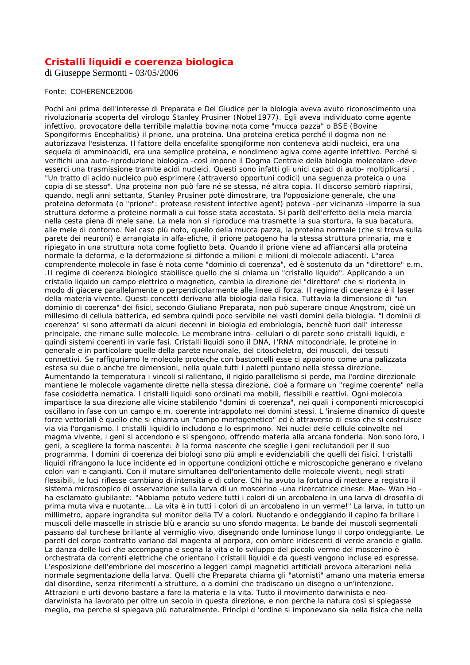#### **Cristalli liquidi e coerenza biologica**

di Giuseppe Sermonti - 03/05/2006

#### Fonte: COHERENCE2006

Pochi ani prima dell'interesse di Preparata e Del Giudice per la biologia aveva avuto riconoscimento una rivoluzionaria scoperta del virologo Stanley Prusiner (NobeI1977). Egli aveva individuato come agente infettivo, provocatore della terribile malattia bovina nota come "mucca pazza" o BSE (Bovine Spongiformis Encephalitis) il prione, una proteina. Una proteina eretica perché il dogma non ne autorizzava l'esistenza. Il fattore della encefalite spongiforme non conteneva acidi nucleici, era una sequela di amminoacidi, era una semplice proteina, e nondimeno agiva come agente infettivo. Perché si verifichi una auto-riproduzione biologica -così impone il Dogma Centrale della biologia molecolare -deve esserci una trasmissione tramite acidi nucleici. Questi sono infatti gli unici capaci di auto- moltiplicarsi . "Un tratto di acido nucleico può esprimere (attraverso opportuni codici) una seguenza proteica o una copia di se stesso". Una proteina non può fare né se stessa, né altra copia. Il discorso sembrò riaprirsi, quando, negli anni settanta, Stanley Prusiner potè dimostrare, tra l'opposizione generale, che una proteina deformata (o "prione": protease resistent infective agent) poteva -per vicinanza -imporre la sua struttura deforme a proteine normali a cui fosse stata accostata. Si parlò dell'effetto della mela marcia nella cesta piena di mele sane. La mela non si riproduce ma trasmette la sua stortura, la sua bacatura, alle mele di contorno. Nel caso più noto, quello della mucca pazza, la proteina normale (che si trova sulla parete dei neuroni) è arrangiata in alfa-eliche, il prione patogeno ha la stessa struttura primaria, ma è ripiegato in una struttura nota come foglietto beta. Quando il prione viene ad affiancarsi alla proteina normale la deforma, e la deformazione si diffonde a milioni e milioni di molecole adiacenti. L"area comprendente molecole in fase è nota come "dominio di coerenza", ed è sostenuto da un "direttore" e.m. .II regime di coerenza biologico stabilisce quello che si chiama un "cristallo liquido". Applicando a un cristallo liquido un campo elettrico o magnetico, cambia la direzione del "direttore" che si riorienta in modo di giacere parallelamente o perpendicolarmente alle linee di forza. Il regime di coerenza è il laser della materia vivente. Questi concetti derivano alla biologia dalla fisica. Tuttavia la dimensione di "un dominio di coerenza" dei fisici, secondo Giuliano Preparata, non può superare cinque Angstrom, cioè un millesimo di cellula batterica, ed sembra quindi poco servibile nei vasti domini della biologia. "l dominii di coerenza" si sono affermati da alcuni decenni in biologia ed embriologia, benchè fuori dall' interesse principale, che rimane sulle molecole. Le membrane intra- cellulari o di parete sono cristalli liquidi, e quindi sistemi coerenti in varie fasi. Cristalli liquidi sono il DNA, I'RNA mitocondriale, le proteine in generale e in particolare quelle della parete neuronale, del citoscheletro, dei muscoli, dei tessuti connettivi. Se raffiguriamo le molecole proteiche con bastoncelli esse ci appaiono come una palizzata estesa su due o anche tre dimensioni, nella quale tutti i paletti puntano nella stessa direzione. Aumentando la temperatura i vincoli si rallentano, il rigido parallelismo si perde, ma l'ordine direzionale mantiene le molecole vagamente dirette nella stessa direzione, cioè a formare un "regime coerente" nella fase cosiddetta nematica. l cristalli liquidi sono ordinati ma mobili, flessibili e reattivi. Ogni molecola impartisce la sua direzione alle vicine stabilendo "domini di coerenza", nei quali i componenti microscopici oscillano in fase con un campo e.m. coerente intrappolato nei domini stessi. L 'insieme dinamico di queste forze vettoriali è quello che si chiama un "campo morfogenetico" ed è attraverso di esso che si costruisce via via l'organismo. l cristalli liquidi lo includono e lo esprimono. Nei nuclei delle cellule coinvolte nel magma vivente, i geni si accendono e si spengono, offrendo materia alla arcana fonderia. Non sono loro, i geni, a scegliere la forma nascente: è la forma nascente che sceglie i geni reclutandoli per il suo programma. l domini di coerenza dei biologi sono più ampli e evidenziabili che quelli dei fisici. l cristalli liquidi rifrangono la luce incidente ed in opportune condizioni ottiche e microscopiche generano e rivelano colori vari e cangianti. Con il mutare simultaneo dell'orientamento delle molecole viventi, negli strati flessibili, le luci riflesse cambiano di intensità e di colore. Chi ha avuto la fortuna di mettere a registro il sistema microscopico di osservazione sulla larva di un moscerino -una ricercatrice cinese: Mae- Wan Ho ha esclamato giubilante: "Abbiamo potuto vedere tutti i colori di un arcobaleno in una larva di drosofila di prima muta viva e nuotante... La vita è in tutti i colori di un arcobaleno in un verme!" La larva, in tutto un millimetro, appare ingrandita sul monitor della TV a colori. Nuotando e ondeggiando il capino fa brillare i muscoli delle mascelle in striscie blù e arancio su uno sfondo magenta. Le bande dei muscoli segmentali passano dal turchese brillante al vermiglio vivo, disegnando onde luminose lungo il corpo ondeggiante. Le pareti del corpo contratto variano dal magenta al porpora, con ombre iridescenti di verde arancio e giallo. La danza delle luci che accompagna e segna la vita e lo sviluppo del piccolo verme del moscerino è orchestrata da correnti elettriche che orientano i cristalli liquidi e da questi vengono incluse ed espresse. L'esposizione dell'embrione del moscerino a leggeri campi magnetici artificiali provoca alterazioni nella normale segmentazione della larva. Quelli che Preparata chiama gli "atomisti" amano una materia emersa dal disordine, senza riferimenti a strutture, o a domini che tradiscano un disegno o un'intenzione. Attrazioni e urti devono bastare a fare la materia e la vita. Tutto il movimento darwinista e neodarwinista ha lavorato per oltre un secolo in questa direzione, e non perche la natura così si spiegasse meglio, ma perche si spiegava più naturalmente. Princìpi d 'ordine si imponevano sia nella fisica che nella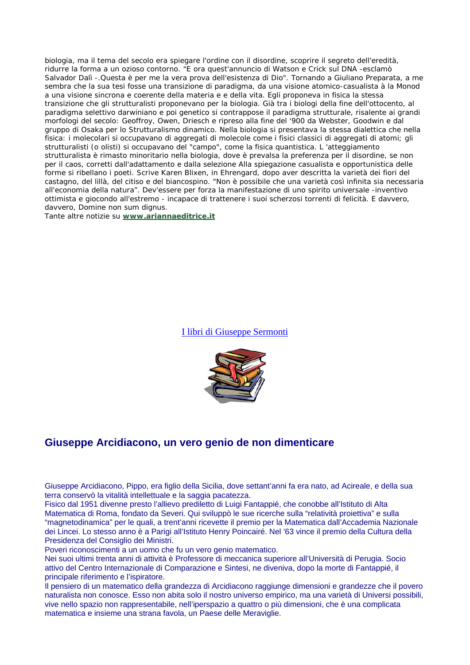biologia, ma il tema del secolo era spiegare l'ordine con il disordine, scoprire il segreto dell'eredità, ridurre la forma a un ozioso contorno. "E ora quest'annuncio di Watson e Crick sul DNA -esclamò Salvador Dalì -.Questa è per me la vera prova dell'esistenza di Dio". Tornando a Giuliano Preparata, a me sembra che la sua tesi fosse una transizione di paradigma, da una visione atomico-casualista à la Monod a una visione sincrona e coerente della materia e e della vita. Egli proponeva in fisica la stessa transizione che gli strutturalisti proponevano per la biologia. Già tra i biologi della fine dell'ottocento, al paradigma selettivo darwiniano e poi genetico si contrappose il paradigma strutturale, risalente ai grandi morfologi del secolo: Geoffroy, Owen, Driesch e ripreso alla fine del '900 da Webster, Goodwin e dal gruppo di Osaka per lo Strutturalismo dinamico. Nella biologia si presentava la stessa dialettica che nella fisica: i molecolari si occupavano di aggregati di molecole come i fisici classici di aggregati di atomi; gli strutturalisti (o olisti) si occupavano del "campo", come la fisica quantistica. L 'atteggiamento strutturalista è rimasto minoritario nella biologia, dove è prevalsa la preferenza per il disordine, se non per il caos, corretti dall'adattamento e dalla selezione Alla spiegazione casualista e opportunistica delle forme si ribellano i poeti. Scrive Karen Blixen, in Ehrengard, dopo aver descritta la varietà dei fiori del castagno, del lillà, del citiso e del biancospino. "Non è possibile che una varietà così infinita sia necessaria all'economia della natura". Dev'essere per forza la manifestazione di uno spirito universale -inventivo ottimista e giocondo all'estremo - incapace di trattenere i suoi scherzosi torrenti di felicità. E davvero, davvero, Domine non sum dignus.

Tante altre notizie su **[www.ariannaeditrice.it](http://www.ariannaeditrice.it/)**

[I libri di Giuseppe Sermonti](http://www.giuseppearcidiacono.net/sermonti.htm#libri#libri)



## **Giuseppe Arcidiacono, un vero genio de non dimenticare**

Giuseppe Arcidiacono, Pippo, era figlio della Sicilia, dove settant'anni fa era nato, ad Acireale, e della sua terra conservò la vitalità intellettuale e la saggia pacatezza.

Fisico dal 1951 divenne presto l'allievo prediletto di Luigi Fantappié, che conobbe all'Istituto di Alta Matematica di Roma, fondato da Severi. Qui sviluppò le sue ricerche sulla "relatività proiettiva" e sulla "magnetodinamica" per le quali, a trent'anni ricevette il premio per la Matematica dall'Accademia Nazionale dei Lincei. Lo stesso anno è a Parigi all'Istituto Henry Poincairé. Nel '63 vince il premio della Cultura della Presidenza del Consiglio dei Ministri.

Poveri riconoscimenti a un uomo che fu un vero genio matematico.

Nei suoi ultimi trenta anni di attività è Professore di meccanica superiore all'Università di Perugia. Socio attivo del Centro Internazionale di Comparazione e Sintesi, ne diveniva, dopo la morte di Fantappié, il principale riferimento e l'ispiratore.

Il pensiero di un matematico della grandezza di Arcidiacono raggiunge dimensioni e grandezze che il povero naturalista non conosce. Esso non abita solo il nostro universo empirico, ma una varietà di Universi possibili, vive nello spazio non rappresentabile, nell'iperspazio a quattro o più dimensioni, che è una complicata matematica e insieme una strana favola, un Paese delle Meraviglie.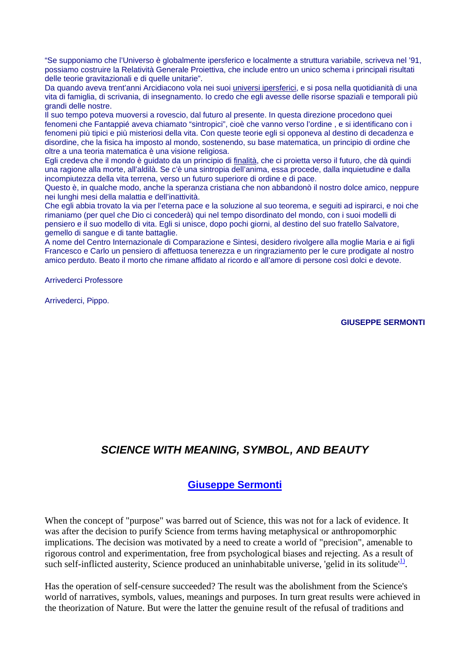"Se supponiamo che l'Universo è globalmente ipersferico e localmente a struttura variabile, scriveva nel '91, possiamo costruire la Relatività Generale Proiettiva, che include entro un unico schema i principali risultati delle teorie gravitazionali e di quelle unitarie".

Da quando aveva trent'anni Arcidiacono vola nei suoi universi ipersferici, e si posa nella quotidianità di una vita di famiglia, di scrivania, di insegnamento. Io credo che egli avesse delle risorse spaziali e temporali più grandi delle nostre.

Il suo tempo poteva muoversi a rovescio, dal futuro al presente. In questa direzione procedono quei fenomeni che Fantappié aveva chiamato "sintropici", cioè che vanno verso l'ordine , e si identificano con i fenomeni più tipici e più misteriosi della vita. Con queste teorie egli si opponeva al destino di decadenza e disordine, che la fisica ha imposto al mondo, sostenendo, su base matematica, un principio di ordine che oltre a una teoria matematica è una visione religiosa.

Egli credeva che il mondo è guidato da un principio di <u>finalità</u>, che ci proietta verso il futuro, che dà quindi una ragione alla morte, all'aldilà. Se c'è una sintropia dell'anima, essa procede, dalla inquietudine e dalla incompiutezza della vita terrena, verso un futuro superiore di ordine e di pace.

Questo è, in qualche modo, anche la speranza cristiana che non abbandonò il nostro dolce amico, neppure nei lunghi mesi della malattia e dell'inattività.

Che egli abbia trovato la via per l'eterna pace e la soluzione al suo teorema, e seguiti ad ispirarci, e noi che rimaniamo (per quel che Dio ci concederà) qui nel tempo disordinato del mondo, con i suoi modelli di pensiero e il suo modello di vita. Egli si unisce, dopo pochi giorni, al destino del suo fratello Salvatore, gemello di sangue e di tante battaglie.

A nome del Centro Internazionale di Comparazione e Sintesi, desidero rivolgere alla moglie Maria e ai figli Francesco e Carlo un pensiero di affettuosa tenerezza e un ringraziamento per le cure prodigate al nostro amico perduto. Beato il morto che rimane affidato al ricordo e all'amore di persone così dolci e devote.

Arrivederci Professore

Arrivederci, Pippo.

**GIUSEPPE SERMONTI**

# *SCIENCE WITH MEANING, SYMBOL, AND BEAUTY*

## **[Giuseppe Sermonti](http://www.cts.cuni.cz/conf98/Procee-x.htm#Sermonti)**

When the concept of "purpose" was barred out of Science, this was not for a lack of evidence. It was after the decision to purify Science from terms having metaphysical or anthropomorphic implications. The decision was motivated by a need to create a world of "precision", amenable to rigorous control and experimentation, free from psychological biases and rejecting. As a result of such self-inflicted austerity, Science produced an uninhabitable universe, 'gelid in its solitude'<sup>1)</sup>.

Has the operation of self-censure succeeded? The result was the abolishment from the Science's world of narratives, symbols, values, meanings and purposes. In turn great results were achieved in the theorization of Nature. But were the latter the genuine result of the refusal of traditions and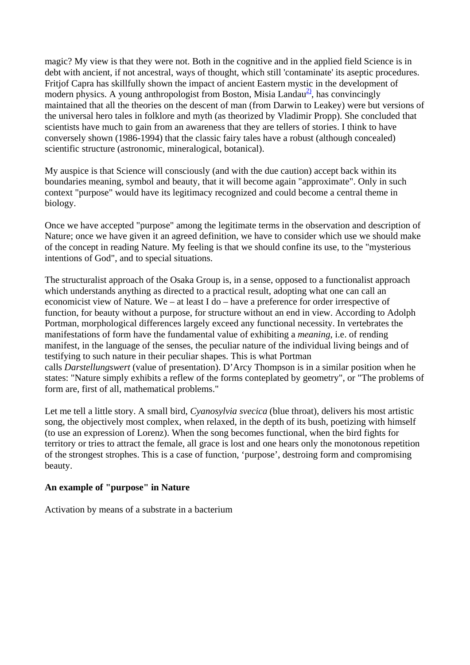magic? My view is that they were not. Both in the cognitive and in the applied field Science is in debt with ancient, if not ancestral, ways of thought, which still 'contaminate' its aseptic procedures. Fritjof Capra has skillfully shown the impact of ancient Eastern mystic in the development of modern physics. A young anthropologist from Boston, Misia Landau<sup>2</sup>, has convincingly maintained that all the theories on the descent of man (from Darwin to Leakey) were but versions of the universal hero tales in folklore and myth (as theorized by Vladimir Propp). She concluded that scientists have much to gain from an awareness that they are tellers of stories. I think to have conversely shown (1986-1994) that the classic fairy tales have a robust (although concealed) scientific structure (astronomic, mineralogical, botanical).

My auspice is that Science will consciously (and with the due caution) accept back within its boundaries meaning, symbol and beauty, that it will become again "approximate". Only in such context "purpose" would have its legitimacy recognized and could become a central theme in biology.

Once we have accepted "purpose" among the legitimate terms in the observation and description of Nature; once we have given it an agreed definition, we have to consider which use we should make of the concept in reading Nature. My feeling is that we should confine its use, to the "mysterious intentions of God", and to special situations.

The structuralist approach of the Osaka Group is, in a sense, opposed to a functionalist approach which understands anything as directed to a practical result, adopting what one can call an economicist view of Nature. We – at least I do – have a preference for order irrespective of function, for beauty without a purpose, for structure without an end in view. According to Adolph Portman, morphological differences largely exceed any functional necessity. In vertebrates the manifestations of form have the fundamental value of exhibiting a *meaning*, i.e. of rending manifest, in the language of the senses, the peculiar nature of the individual living beings and of testifying to such nature in their peculiar shapes. This is what Portman calls *Darstellungswert* (value of presentation). D'Arcy Thompson is in a similar position when he states: "Nature simply exhibits a reflew of the forms conteplated by geometry", or "The problems of form are, first of all, mathematical problems."

Let me tell a little story. A small bird, *Cyanosylvia svecica* (blue throat), delivers his most artistic song, the objectively most complex, when relaxed, in the depth of its bush, poetizing with himself (to use an expression of Lorenz). When the song becomes functional, when the bird fights for territory or tries to attract the female, all grace is lost and one hears only the monotonous repetition of the strongest strophes. This is a case of function, 'purpose', destroing form and compromising beauty.

#### **An example of "purpose" in Nature**

Activation by means of a substrate in a bacterium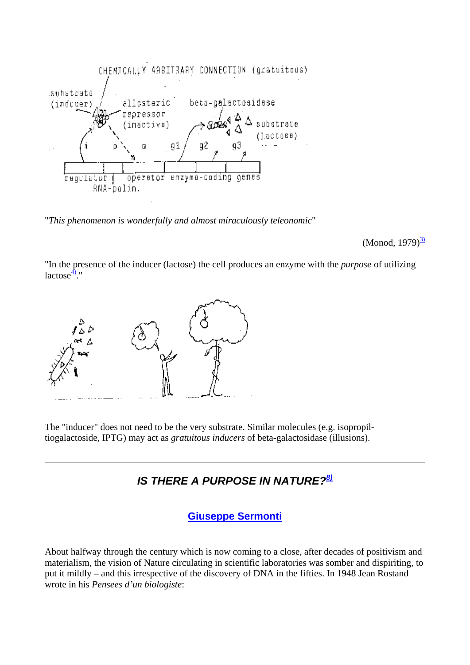

"*This phenomenon is wonderfully and almost miraculously teleonomic*"

(Monod,  $1979)^{3/2}$ 

"In the presence of the inducer (lactose) the cell produces an enzyme with the *purpose* of utilizing lactose $\frac{4}{2}$ ."



The "inducer" does not need to be the very substrate. Similar molecules (e.g. isopropiltiogalactoside, IPTG) may act as *gratuitous inducers* of beta-galactosidase (illusions).

# *IS THERE A PURPOSE IN NATURE?[8\)](http://www.cts.cuni.cz/conf98/footnot.htm#8)*

**[Giuseppe Sermonti](http://www.cts.cuni.cz/conf98/Procee-x.htm#Sermonti)**

About halfway through the century which is now coming to a close, after decades of positivism and materialism, the vision of Nature circulating in scientific laboratories was somber and dispiriting, to put it mildly – and this irrespective of the discovery of DNA in the fifties. In 1948 Jean Rostand wrote in his *Pensees d'un biologiste*: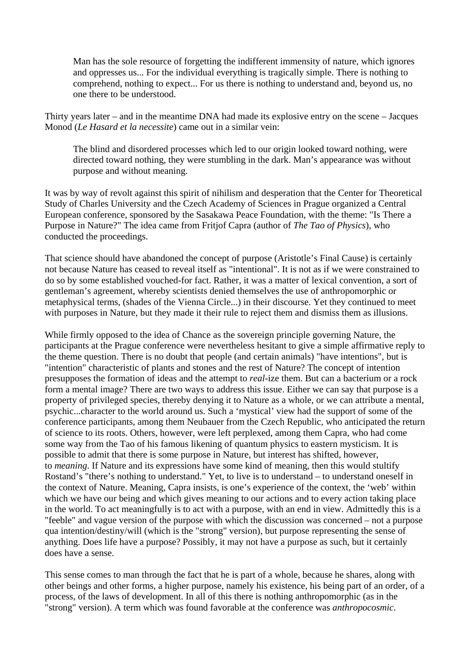Man has the sole resource of forgetting the indifferent immensity of nature, which ignores and oppresses us... For the individual everything is tragically simple. There is nothing to comprehend, nothing to expect... For us there is nothing to understand and, beyond us, no one there to be understood.

Thirty years later – and in the meantime DNA had made its explosive entry on the scene – Jacques Monod (*Le Hasard et la necessite*) came out in a similar vein:

The blind and disordered processes which led to our origin looked toward nothing, were directed toward nothing, they were stumbling in the dark. Man's appearance was without purpose and without meaning.

It was by way of revolt against this spirit of nihilism and desperation that the Center for Theoretical Study of Charles University and the Czech Academy of Sciences in Prague organized a Central European conference, sponsored by the Sasakawa Peace Foundation, with the theme: "Is There a Purpose in Nature?" The idea came from Fritjof Capra (author of *The Tao of Physics*), who conducted the proceedings.

That science should have abandoned the concept of purpose (Aristotle's Final Cause) is certainly not because Nature has ceased to reveal itself as "intentional". It is not as if we were constrained to do so by some established vouched-for fact. Rather, it was a matter of lexical convention, a sort of gentleman's agreement, whereby scientists denied themselves the use of anthropomorphic or metaphysical terms, (shades of the Vienna Circle...) in their discourse. Yet they continued to meet with purposes in Nature, but they made it their rule to reject them and dismiss them as illusions.

While firmly opposed to the idea of Chance as the sovereign principle governing Nature, the participants at the Prague conference were nevertheless hesitant to give a simple affirmative reply to the theme question. There is no doubt that people (and certain animals) "have intentions", but is "intention" characteristic of plants and stones and the rest of Nature? The concept of intention presupposes the formation of ideas and the attempt to *real*-ize them. But can a bacterium or a rock form a mental image? There are two ways to address this issue. Either we can say that purpose is a property of privileged species, thereby denying it to Nature as a whole, or we can attribute a mental, psychic...character to the world around us. Such a 'mystical' view had the support of some of the conference participants, among them Neubauer from the Czech Republic, who anticipated the return of science to its roots. Others, however, were left perplexed, among them Capra, who had come some way from the Tao of his famous likening of quantum physics to eastern mysticism. It is possible to admit that there is some purpose in Nature, but interest has shifted, however, to *meaning*. If Nature and its expressions have some kind of meaning, then this would stultify Rostand's "there's nothing to understand." Yet, to live is to understand – to understand oneself in the context of Nature. Meaning, Capra insists, is one's experience of the context, the 'web' within which we have our being and which gives meaning to our actions and to every action taking place in the world. To act meaningfully is to act with a purpose, with an end in view. Admittedly this is a "feeble" and vague version of the purpose with which the discussion was concerned – not a purpose qua intention/destiny/will (which is the "strong" version), but purpose representing the sense of anything. Does life have a purpose? Possibly, it may not have a purpose as such, but it certainly does have a sense.

This sense comes to man through the fact that he is part of a whole, because he shares, along with other beings and other forms, a higher purpose, namely his existence, his being part of an order, of a process, of the laws of development. In all of this there is nothing anthropomorphic (as in the "strong" version). A term which was found favorable at the conference was *anthropocosmic*.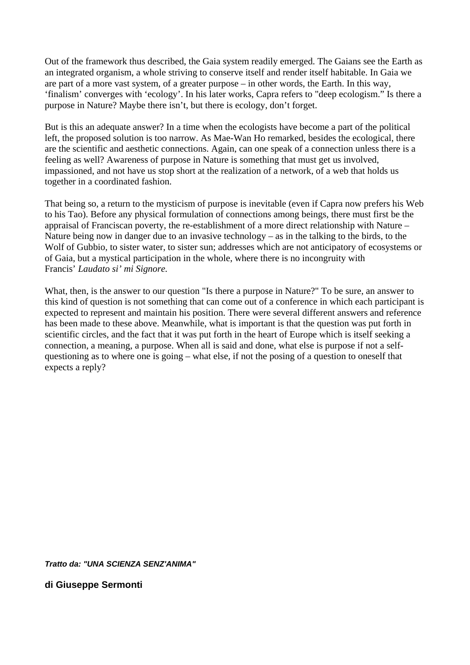Out of the framework thus described, the Gaia system readily emerged. The Gaians see the Earth as an integrated organism, a whole striving to conserve itself and render itself habitable. In Gaia we are part of a more vast system, of a greater purpose – in other words, the Earth. In this way, 'finalism' converges with 'ecology'. In his later works, Capra refers to "deep ecologism." Is there a purpose in Nature? Maybe there isn't, but there is ecology, don't forget.

But is this an adequate answer? In a time when the ecologists have become a part of the political left, the proposed solution is too narrow. As Mae-Wan Ho remarked, besides the ecological, there are the scientific and aesthetic connections. Again, can one speak of a connection unless there is a feeling as well? Awareness of purpose in Nature is something that must get us involved, impassioned, and not have us stop short at the realization of a network, of a web that holds us together in a coordinated fashion.

That being so, a return to the mysticism of purpose is inevitable (even if Capra now prefers his Web to his Tao). Before any physical formulation of connections among beings, there must first be the appraisal of Franciscan poverty, the re-establishment of a more direct relationship with Nature – Nature being now in danger due to an invasive technology – as in the talking to the birds, to the Wolf of Gubbio, to sister water, to sister sun; addresses which are not anticipatory of ecosystems or of Gaia, but a mystical participation in the whole, where there is no incongruity with Francis' *Laudato si' mi Signore.*

What, then, is the answer to our question "Is there a purpose in Nature?" To be sure, an answer to this kind of question is not something that can come out of a conference in which each participant is expected to represent and maintain his position. There were several different answers and reference has been made to these above. Meanwhile, what is important is that the question was put forth in scientific circles, and the fact that it was put forth in the heart of Europe which is itself seeking a connection, a meaning, a purpose. When all is said and done, what else is purpose if not a selfquestioning as to where one is going – what else, if not the posing of a question to oneself that expects a reply?

*Tratto da: "UNA SCIENZA SENZ'ANIMA"*

**di Giuseppe Sermonti**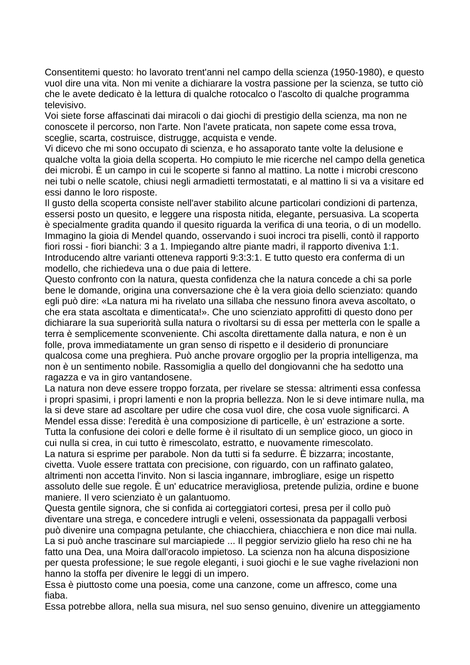Consentitemi questo: ho lavorato trent'anni nel campo della scienza (1950-1980), e questo vuoI dire una vita. Non mi venite a dichiarare la vostra passione per la scienza, se tutto ciò che le avete dedicato è la lettura di qualche rotocalco o l'ascolto di qualche programma televisivo.

Voi siete forse affascinati dai miracoli o dai giochi di prestigio della scienza, ma non ne conoscete il percorso, non l'arte. Non l'avete praticata, non sapete come essa trova, sceglie, scarta, costruisce, distrugge, acquista e vende.

Vi dicevo che mi sono occupato di scienza, e ho assaporato tante volte la delusione e qualche volta la gioia della scoperta. Ho compiuto le mie ricerche nel campo della genetica dei microbi. È un campo in cui le scoperte si fanno al mattino. La notte i microbi crescono nei tubi o nelle scatole, chiusi negli armadietti termostatati, e al mattino li si va a visitare ed essi danno le loro risposte.

Il gusto della scoperta consiste nell'aver stabilito alcune particolari condizioni di partenza, essersi posto un quesito, e leggere una risposta nitida, elegante, persuasiva. La scoperta è specialmente gradita quando il quesito riguarda la verifica di una teoria, o di un modello. Immagino la gioia di Mendel quando, osservando i suoi incroci tra piselli, contò il rapporto fiori rossi - fiori bianchi: 3 a 1. Impiegando altre piante madri, il rapporto diveniva 1:1. Introducendo altre varianti otteneva rapporti 9:3:3:1. E tutto questo era conferma di un modello, che richiedeva una o due paia di lettere.

Questo confronto con la natura, questa confidenza che la natura concede a chi sa porle bene le domande, origina una conversazione che è la vera gioia dello scienziato: quando egli può dire: «La natura mi ha rivelato una sillaba che nessuno finora aveva ascoltato, o che era stata ascoltata e dimenticata!». Che uno scienziato approfitti di questo dono per dichiarare la sua superiorità sulla natura o rivoltarsi su di essa per metterla con le spalle a terra è semplicemente sconveniente. Chi ascolta direttamente dalla natura, e non è un folle, prova immediatamente un gran senso di rispetto e il desiderio di pronunciare qualcosa come una preghiera. Può anche provare orgoglio per la propria intelligenza, ma non è un sentimento nobile. Rassomiglia a quello del dongiovanni che ha sedotto una ragazza e va in giro vantandosene.

La natura non deve essere troppo forzata, per rivelare se stessa: altrimenti essa confessa i propri spasimi, i propri lamenti e non la propria bellezza. Non le si deve intimare nulla, ma la si deve stare ad ascoltare per udire che cosa vuol dire, che cosa vuole significarci. A Mendel essa disse: l'eredità è una composizione di particelle, è un' estrazione a sorte. Tutta la confusione dei colori e delle forme è il risultato di un semplice gioco, un gioco in cui nulla si crea, in cui tutto è rimescolato, estratto, e nuovamente rimescolato.

La natura si esprime per parabole. Non da tutti si fa sedurre. È bizzarra; incostante, civetta. Vuole essere trattata con precisione, con riguardo, con un raffinato galateo, altrimenti non accetta l'invito. Non si lascia ingannare, imbrogliare, esige un rispetto assoluto delle sue regole. È un' educatrice meravigliosa, pretende pulizia, ordine e buone maniere. Il vero scienziato è un galantuomo.

Questa gentile signora, che si confida ai corteggiatori cortesi, presa per il collo può diventare una strega, e concedere intrugli e veleni, ossessionata da pappagalli verbosi può divenire una compagna petulante, che chiacchiera, chiacchiera e non dice mai nulla. La si può anche trascinare sul marciapiede ... Il peggior servizio glielo ha reso chi ne ha fatto una Dea, una Moira dall'oracolo impietoso. La scienza non ha alcuna disposizione per questa professione; le sue regole eleganti, i suoi giochi e le sue vaghe rivelazioni non hanno la stoffa per divenire le leggi di un impero.

Essa è piuttosto come una poesia, come una canzone, come un affresco, come una fiaba.

Essa potrebbe allora, nella sua misura, nel suo senso genuino, divenire un atteggiamento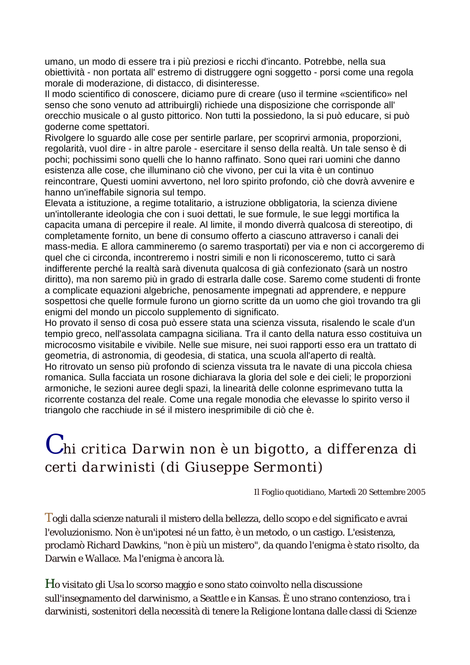umano, un modo di essere tra i più preziosi e ricchi d'incanto. Potrebbe, nella sua obiettività - non portata all' estremo di distruggere ogni soggetto - porsi come una regola morale di moderazione, di distacco, di disinteresse.

Il modo scientifico di conoscere, diciamo pure di creare (uso il termine «scientifico» nel senso che sono venuto ad attribuirgli) richiede una disposizione che corrisponde all' orecchio musicale o al gusto pittorico. Non tutti la possiedono, la si può educare, si può goderne come spettatori.

Rivolgere lo sguardo alle cose per sentirle parlare, per scoprirvi armonia, proporzioni, regolarità, vuoI dire - in altre parole - esercitare il senso della realtà. Un tale senso è di pochi; pochissimi sono quelli che lo hanno raffinato. Sono quei rari uomini che danno esistenza alle cose, che illuminano ciò che vivono, per cui la vita è un continuo reincontrare, Questi uomini avvertono, nel loro spirito profondo, ciò che dovrà avvenire e hanno un'ineffabile signoria sul tempo.

Elevata a istituzione, a regime totalitario, a istruzione obbligatoria, la scienza diviene un'intollerante ideologia che con i suoi dettati, le sue formule, le sue leggi mortifica la capacita umana di percepire il reale. Al limite, il mondo diverrà qualcosa di stereotipo, di completamente fornito, un bene di consumo offerto a ciascuno attraverso i canali dei mass-media. E allora cammineremo (o saremo trasportati) per via e non ci accorgeremo di quel che ci circonda, incontreremo i nostri simili e non li riconosceremo, tutto ci sarà indifferente perché la realtà sarà divenuta qualcosa di già confezionato (sarà un nostro diritto), ma non saremo più in grado di estrarla dalle cose. Saremo come studenti di fronte a complicate equazioni algebriche, penosamente impegnati ad apprendere, e neppure sospettosi che quelle formule furono un giorno scritte da un uomo che gioì trovando tra gli enigmi del mondo un piccolo supplemento di significato.

Ho provato il senso di cosa può essere stata una scienza vissuta, risalendo le scale d'un tempio greco, nell'assolata campagna siciliana. Tra il canto della natura esso costituiva un microcosmo visitabile e vivibile. Nelle sue misure, nei suoi rapporti esso era un trattato di geometria, di astronomia, di geodesia, di statica, una scuola all'aperto di realtà. Ho ritrovato un senso più profondo di scienza vissuta tra le navate di una piccola chiesa romanica. Sulla facciata un rosone dichiarava la gloria del sole e dei cieli; le proporzioni armoniche, le sezioni auree degli spazi, la linearità delle colonne esprimevano tutta la ricorrente costanza del reale. Come una regale monodia che elevasse lo spirito verso il triangolo che racchiude in sé il mistero inesprimibile di ciò che è.

# *C hi critica Darwin non è un bigotto, a differenza di certi darwinisti (di Giuseppe Sermonti)*

*Il Foglio quotidiano*, Martedì 20 Settembre 2005

Togli dalla scienze naturali il mistero della bellezza, dello scopo e del significato e avrai l'evoluzionismo. Non è un'ipotesi né un fatto, è un metodo, o un castigo. L'esistenza, proclamò Richard Dawkins, "non è più un mistero", da quando l'enigma è stato risolto, da Darwin e Wallace. Ma l'enigma è ancora là.

Ho visitato gli Usa lo scorso maggio e sono stato coinvolto nella discussione sull'insegnamento del darwinismo, a Seattle e in Kansas. È uno strano contenzioso, tra i darwinisti, sostenitori della necessità di tenere la Religione lontana dalle classi di Scienze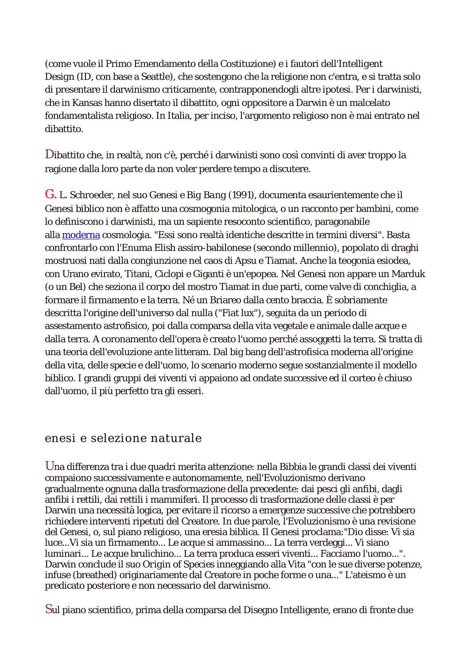(come vuole il Primo Emendamento della Costituzione) e i fautori dell'*Intelligent Design* (ID, con base a Seattle), che sostengono che la religione non c'entra, e si tratta solo di presentare il darwinismo criticamente, contrapponendogli altre ipotesi. Per i darwinisti, che in Kansas hanno disertato il dibattito, ogni oppositore a Darwin è un malcelato fondamentalista religioso. In Italia, per inciso, l'argomento religioso non è mai entrato nel dibattito.

Dibattito che, in realtà, non c'è, perché i darwinisti sono così convinti di aver troppo la ragione dalla loro parte da non voler perdere tempo a discutere.

G. L. Schroeder, nel suo *Genesi e Big Bang* (1991), documenta esaurientemente che il Genesi biblico non è affatto una cosmogonia mitologica, o un racconto per bambini, come lo definiscono i darwinisti, ma un sapiente resoconto scientifico, paragonabile alla [moderna](http://www.stefanoborselli.elios.net/temi.htm#moderno) cosmologia. "Essi sono realtà identiche descritte in termini diversi". Basta confrontarlo con l'Enuma Elish assiro-babilonese (secondo millennio), popolato di draghi mostruosi nati dalla congiunzione nel caos di Apsu e Tiamat. Anche la teogonia esiodea, con Urano evirato, Titani, Ciclopi e Giganti è un'epopea. Nel Genesi non appare un Marduk (o un Bel) che seziona il corpo del mostro Tiamat in due parti, come valve di conchiglia, a formare il firmamento e la terra. Né un Briareo dalla cento braccia. È sobriamente descritta l'origine dell'universo dal nulla ("Fiat lux"), seguita da un periodo di assestamento astrofisico, poi dalla comparsa della vita vegetale e animale dalle acque e dalla terra. A coronamento dell'opera è creato l'uomo perché assoggetti la terra. Si tratta di una teoria dell'evoluzione ante litteram. Dal big bang dell'astrofisica moderna all'origine della vita, delle specie e dell'uomo, lo scenario moderno segue sostanzialmente il modello biblico. I grandi gruppi dei viventi vi appaiono ad ondate successive ed il corteo è chiuso dall'uomo, il più perfetto tra gli esseri.

# enesi e selezione naturale

Una differenza tra i due quadri merita attenzione: nella Bibbia le grandi classi dei viventi compaiono successivamente e autonomamente, nell'Evoluzionismo derivano gradualmente ognuna dalla trasformazione della precedente: dai pesci gli anfibi, dagli anfibi i rettili, dai rettili i mammiferi. Il processo di trasformazione delle classi è per Darwin una necessità logica, per evitare il ricorso a emergenze successive che potrebbero richiedere interventi ripetuti del Creatore. In due parole, l'Evoluzionismo è una revisione del Genesi, o, sul piano religioso, una eresia biblica. Il Genesi proclama:"Dio disse: Vi sia luce...Vi sia un firmamento... Le acque si ammassino... La terra verdeggi... Vi siano luminari... Le acque brulichino... La terra produca esseri viventi... Facciamo l'uomo...". Darwin conclude il suo *Origin of Species* inneggiando alla Vita "con le sue diverse potenze, infuse (breathed) originariamente dal Creatore in poche forme o una..." L'ateismo è un predicato posteriore e non necessario del darwinismo.

Sul piano scientifico, prima della comparsa del Disegno Intelligente, erano di fronte due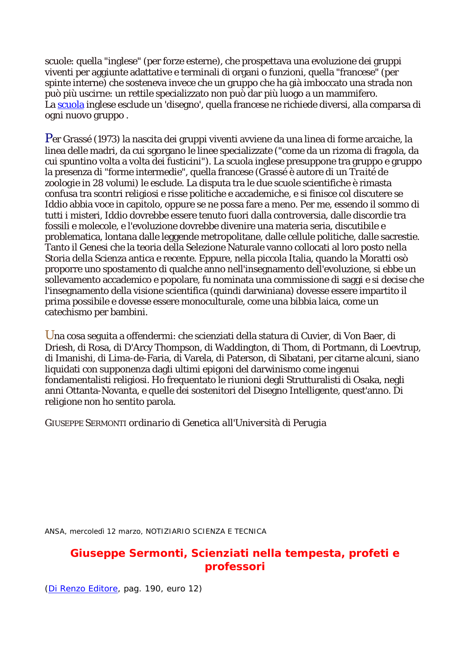scuole: quella "inglese" (per forze esterne), che prospettava una evoluzione dei gruppi viventi per aggiunte adattative e terminali di organi o funzioni, quella "francese" (per spinte interne) che sosteneva invece che un gruppo che ha già imboccato una strada non può più uscirne: un rettile specializzato non può dar più luogo a un mammifero. La [scuola](http://www.stefanoborselli.elios.net/temi.htm#scuola) inglese esclude un 'disegno', quella francese ne richiede diversi, alla comparsa di ogni nuovo gruppo .

Per Grassé (1973) la nascita dei gruppi viventi avviene da una linea di forme arcaiche, la linea delle madri, da cui sgorgano le linee specializzate ("come da un rizoma di fragola, da cui spuntino volta a volta dei fusticini"). La scuola inglese presuppone tra gruppo e gruppo la presenza di "forme intermedie", quella francese (Grassé è autore di un *Traité de zoologie* in 28 volumi) le esclude. La disputa tra le due scuole scientifiche è rimasta confusa tra scontri religiosi e risse politiche e accademiche, e si finisce col discutere se Iddio abbia voce in capitolo, oppure se ne possa fare a meno. Per me, essendo il sommo di tutti i misteri, Iddio dovrebbe essere tenuto fuori dalla controversia, dalle discordie tra fossili e molecole, e l'evoluzione dovrebbe divenire una materia seria, discutibile e problematica, lontana dalle leggende metropolitane, dalle cellule politiche, dalle sacrestie. Tanto il Genesi che la teoria della Selezione Naturale vanno collocati al loro posto nella Storia della Scienza antica e recente. Eppure, nella piccola Italia, quando la Moratti osò proporre uno spostamento di qualche anno nell'insegnamento dell'evoluzione, si ebbe un sollevamento accademico e popolare, fu nominata una commissione di saggi e si decise che l'insegnamento della visione scientifica (quindi darwiniana) dovesse essere impartito il prima possibile e dovesse essere monoculturale, come una bibbia laica, come un catechismo per bambini.

Una cosa seguita a offendermi: che scienziati della statura di Cuvier, di Von Baer, di Driesh, di Rosa, di D'Arcy Thompson, di Waddington, di Thom, di Portmann, di Loevtrup, di Imanishi, di Lima-de-Faria, di Varela, di Paterson, di Sibatani, per citarne alcuni, siano liquidati con supponenza dagli ultimi epigoni del darwinismo come ingenui fondamentalisti religiosi. Ho frequentato le riunioni degli Strutturalisti di Osaka, negli anni Ottanta-Novanta, e quelle dei sostenitori del Disegno Intelligente, quest'anno. Di religione non ho sentito parola.

GIUSEPPE SERMONTI *ordinario di Genetica all'Università di Perugia*

*ANSA* , mercoledì 12 marzo, NOTIZIARIO SCIENZA E TECNICA

# *Giuseppe Sermonti, Scienziati nella tempesta, profeti e professori*

[\(Di Renzo Editore,](http://www.direnzo.it/) pag. 190, euro 12)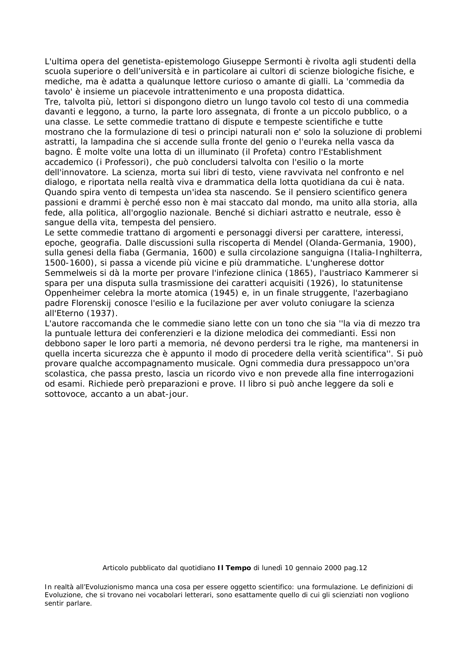L'ultima opera del genetista-epistemologo Giuseppe Sermonti è rivolta agli studenti della scuola superiore o dell'università e in particolare ai cultori di scienze biologiche fisiche, e mediche, ma è adatta a qualunque lettore curioso o amante di gialli. La 'commedia da tavolo' è insieme un piacevole intrattenimento e una proposta didattica.

Tre, talvolta più, lettori si dispongono dietro un lungo tavolo col testo di una commedia davanti e leggono, a turno, la parte loro assegnata, di fronte a un piccolo pubblico, o a una classe. Le sette commedie trattano di dispute e tempeste scientifiche e tutte mostrano che la formulazione di tesi o principi naturali non e' solo la soluzione di problemi astratti, la lampadina che si accende sulla fronte del genio o l'eureka nella vasca da bagno. È molte volte una lotta di un illuminato (il Profeta) contro l'Establishment accademico (i Professori), che può concludersi talvolta con l'esilio o la morte dell'innovatore. La scienza, morta sui libri di testo, viene ravvivata nel confronto e nel dialogo, e riportata nella realtà viva e drammatica della lotta quotidiana da cui è nata. Quando spira vento di tempesta un'idea sta nascendo. Se il pensiero scientifico genera passioni e drammi è perché esso non è mai staccato dal mondo, ma unito alla storia, alla fede, alla politica, all'orgoglio nazionale. Benché si dichiari astratto e neutrale, esso è sangue della vita, tempesta del pensiero.

Le sette commedie trattano di argomenti e personaggi diversi per carattere, interessi, epoche, geografia. Dalle discussioni sulla riscoperta di Mendel (Olanda-Germania, 1900), sulla genesi della fiaba (Germania, 1600) e sulla circolazione sanguigna (Italia-Inghilterra, 1500-1600), si passa a vicende più vicine e più drammatiche. L'ungherese dottor Semmelweis si dà la morte per provare l'infezione clinica (1865), l'austriaco Kammerer si spara per una disputa sulla trasmissione dei caratteri acquisiti (1926), lo statunitense Oppenheimer celebra la morte atomica (1945) e, in un finale struggente, l'azerbagiano padre Florenskij conosce l'esilio e la fucilazione per aver voluto coniugare la scienza all'Eterno (1937).

L'autore raccomanda che le commedie siano lette con un tono che sia ''la via di mezzo tra la puntuale lettura dei conferenzieri e la dizione melodica dei commedianti. Essi non debbono saper le loro parti a memoria, né devono perdersi tra le righe, ma mantenersi in quella incerta sicurezza che è appunto il modo di procedere della verità scientifica''. Si può provare qualche accompagnamento musicale. Ogni commedia dura pressappoco un'ora scolastica, che passa presto, lascia un ricordo vivo e non prevede alla fine interrogazioni od esami. Richiede però preparazioni e prove. Il libro si può anche leggere da soli e sottovoce, accanto a un abat-jour.

Articolo pubblicato dal quotidiano **Il Tempo** di lunedì 10 gennaio 2000 pag.12

*In realtà all'Evoluzionismo manca una cosa per essere oggetto scientifico: una formulazione. Le definizioni di Evoluzione, che si trovano nei vocabolari letterari, sono esattamente quello di cui gli scienziati non vogliono sentir parlare.*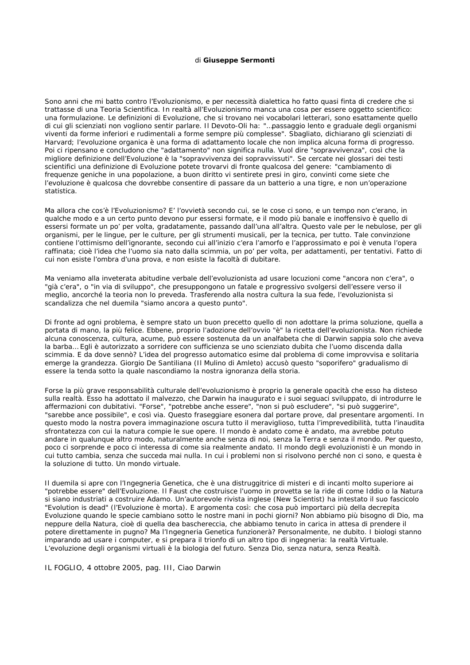#### di **Giuseppe Sermonti**

Sono anni che mi batto contro l'Evoluzionismo, e per necessità dialettica ho fatto quasi finta di credere che si trattasse di una Teoria Scientifica. In realtà all'Evoluzionismo manca una cosa per essere oggetto scientifico: una formulazione. Le definizioni di Evoluzione, che si trovano nei vocabolari letterari, sono esattamente quello di cui gli scienziati non vogliono sentir parlare. Il Devoto-Oli ha: "…passaggio lento e graduale degli organismi viventi da forme inferiori e rudimentali a forme sempre più complesse". Sbagliato, dichiarano gli scienziati di Harvard; l'evoluzione organica è una forma di adattamento locale che non implica alcuna forma di progresso. Poi ci ripensano e concludono che "adattamento" non significa nulla. Vuol dire "sopravvivenza", così che la migliore definizione dell'Evoluzione è la "sopravvivenza dei sopravvissuti". Se cercate nei glossari dei testi scientifici una definizione di Evoluzione potete trovarvi di fronte qualcosa del genere: "cambiamento di frequenze geniche in una popolazione, a buon diritto vi sentirete presi in giro, convinti come siete che l'evoluzione è qualcosa che dovrebbe consentire di passare da un batterio a una tigre, e non un'operazione statistica.

Ma allora che cos'è l'Evoluzionismo? E' l'ovvietà secondo cui, se le cose ci sono, e un tempo non c'erano, in qualche modo e a un certo punto devono pur essersi formate, e il modo più banale e inoffensivo è quello di essersi formate un po' per volta, gradatamente, passando dall'una all'altra. Questo vale per le nebulose, per gli organismi, per le lingue, per le culture, per gli strumenti musicali, per la tecnica, per tutto. Tale convinzione contiene l'ottimismo dell'ignorante, secondo cui all'inizio c'era l'amorfo e l'approssimato e poi è venuta l'opera raffinata; cioè l'idea che l'uomo sia nato dalla scimmia, un po' per volta, per adattamenti, per tentativi. Fatto di cui non esiste l'ombra d'una prova, e non esiste la facoltà di dubitare.

Ma veniamo alla inveterata abitudine verbale dell'evoluzionista ad usare locuzioni come "ancora non c'era", o "già c'era", o "in via di sviluppo", che presuppongono un fatale e progressivo svolgersi dell'essere verso il meglio, ancorché la teoria non lo preveda. Trasferendo alla nostra cultura la sua fede, l'evoluzionista si scandalizza che nel duemila "siamo ancora a questo punto".

Di fronte ad ogni problema, è sempre stato un buon precetto quello di non adottare la prima soluzione, quella a portata di mano, la più felice. Ebbene, proprio l'adozione dell'ovvio "è" la ricetta dell'evoluzionista. Non richiede alcuna conoscenza, cultura, acume, può essere sostenuta da un analfabeta che di Darwin sappia solo che aveva la barba… Egli è autorizzato a sorridere con sufficienza se uno scienziato dubita che l'uomo discenda dalla scimmia. E da dove sennò? L'idea del progresso automatico esime dal problema di come improvvisa e solitaria emerge la grandezza. Giorgio De Santiliana (Il Mulino di Amleto) accusò questo "soporifero" gradualismo di essere la tenda sotto la quale nascondiamo la nostra ignoranza della storia.

Forse la più grave responsabilità culturale dell'evoluzionismo è proprio la generale opacità che esso ha disteso sulla realtà. Esso ha adottato il malvezzo, che Darwin ha inaugurato e i suoi seguaci sviluppato, di introdurre le affermazioni con dubitativi. "Forse", "potrebbe anche essere", "non si può escludere", "si può suggerire", "sarebbe ance possibile", e così via. Questo fraseggiare esonera dal portare prove, dal presentare argomenti. In questo modo la nostra povera immaginazione oscura tutto il meraviglioso, tutta l'imprevedibilità, tutta l'inaudita sfrontatezza con cui la natura compie le sue opere. Il mondo è andato come è andato, ma avrebbe potuto andare in qualunque altro modo, naturalmente anche senza di noi, senza la Terra e senza il mondo. Per questo, poco ci sorprende e poco ci interessa di come sia realmente andato. Il mondo degli evoluzionisti è un mondo in cui tutto cambia, senza che succeda mai nulla. In cui i problemi non si risolvono perché non ci sono, e questa è la soluzione di tutto. Un mondo virtuale.

Il duemila si apre con l'Ingegneria Genetica, che è una distruggitrice di misteri e di incanti molto superiore ai "potrebbe essere" dell'Evoluzione. Il Faust che costruisce l'uomo in provetta se la ride di come Iddio o la Natura si siano industriati a costruire Adamo. Un'autorevole rivista inglese (*New Scientist*) ha intestato il suo fascicolo "*Evolution is dead*" (l'Evoluzione è morta). E argomenta così: che cosa può importarci più della decrepita Evoluzione quando le specie cambiano sotto le nostre mani in pochi giorni? Non abbiamo più bisogno di Dio, ma neppure della Natura, cioè di quella dea baschereccia, che abbiamo tenuto in carica in attesa di prendere il potere direttamente in pugno? Ma l'Ingegneria Genetica funzionerà? Personalmente, ne dubito. I biologi stanno imparando ad usare i computer, e si prepara il trionfo di un altro tipo di ingegneria: la realtà Virtuale. L'evoluzione degli organismi virtuali è la biologia del futuro. Senza Dio, senza natura, senza Realtà.

*IL FOGLIO*, 4 ottobre 2005, pag. III, Ciao Darwin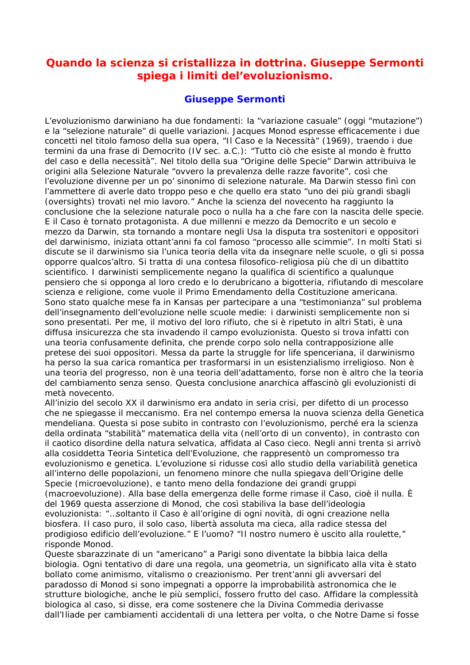# *Quando la scienza si cristallizza in dottrina. Giuseppe Sermonti spiega i limiti del'evoluzionismo.*

#### **Giuseppe Sermonti**

L'evoluzionismo darwiniano ha due fondamenti: la "variazione casuale" (oggi "mutazione") e la "selezione naturale" di quelle variazioni. Jacques Monod espresse efficacemente i due concetti nel titolo famoso della sua opera, "Il Caso e la Necessità" (1969), traendo i due termini da una frase di Democrito (IV sec. a.C.): "Tutto ciò che esiste al mondo è frutto del caso e della necessità". Nel titolo della sua "Origine delle Specie" Darwin attribuiva le origini alla Selezione Naturale "ovvero la prevalenza delle razze favorite", così che l'evoluzione divenne per un po' sinonimo di selezione naturale. Ma Darwin stesso finì con l'ammettere di averle dato troppo peso e che quello era stato "uno dei più grandi sbagli (oversights) trovati nel mio lavoro." Anche la scienza del novecento ha raggiunto la conclusione che la selezione naturale poco o nulla ha a che fare con la nascita delle specie. E il Caso è tornato protagonista. A due millenni e mezzo da Democrito e un secolo e mezzo da Darwin, sta tornando a montare negli Usa la disputa tra sostenitori e oppositori del darwinismo, iniziata ottant'anni fa col famoso "processo alle scimmie". In molti Stati si discute se il darwinismo sia l'unica teoria della vita da insegnare nelle scuole, o gli si possa opporre qualcos'altro. Si tratta di una contesa filosofico-religiosa più che di un dibattito scientifico. I darwinisti semplicemente negano la qualifica di scientifico a qualunque pensiero che si opponga al loro credo e lo derubricano a bigotteria, rifiutando di mescolare scienza e religione, come vuole il Primo Emendamento della Costituzione americana. Sono stato qualche mese fa in Kansas per partecipare a una "testimonianza" sul problema dell'insegnamento dell'evoluzione nelle scuole medie: i darwinisti semplicemente non si sono presentati. Per me, il motivo del loro rifiuto, che si è ripetuto in altri Stati, è una diffusa insicurezza che sta invadendo il campo evoluzionista. Questo si trova infatti con una teoria confusamente definita, che prende corpo solo nella contrapposizione alle pretese dei suoi oppositori. Messa da parte la struggle for life spenceriana, il darwinismo ha perso la sua carica romantica per trasformarsi in un esistenzialismo irreligioso. Non è una teoria del progresso, non è una teoria dell'adattamento, forse non è altro che la teoria del cambiamento senza senso. Questa conclusione anarchica affascinò gli evoluzionisti di metà novecento.

All'inizio del secolo XX il darwinismo era andato in seria crisi, per difetto di un processo che ne spiegasse il meccanismo. Era nel contempo emersa la nuova scienza della Genetica mendeliana. Questa si pose subito in contrasto con l'evoluzionismo, perché era la scienza della ordinata "stabilità" matematica della vita (nell'orto di un convento), in contrasto con il caotico disordine della natura selvatica, affidata al Caso cieco. Negli anni trenta si arrivò alla cosiddetta Teoria Sintetica dell'Evoluzione, che rappresentò un compromesso tra evoluzionismo e genetica. L'evoluzione si ridusse così allo studio della variabilità genetica all'interno delle popolazioni, un fenomeno minore che nulla spiegava dell'Origine delle Specie (microevoluzione), e tanto meno della fondazione dei grandi gruppi (macroevoluzione). Alla base della emergenza delle forme rimase il Caso, cioè il nulla. È del 1969 questa asserzione di Monod, che così stabiliva la base dell'ideologia evoluzionista: "…soltanto il Caso è all'origine di ogni novità, di ogni creazione nella biosfera. Il caso puro, il solo caso, libertà assoluta ma cieca, alla radice stessa del prodigioso edificio dell'evoluzione." E l'uomo? "Il nostro numero è uscito alla roulette," risponde Monod.

Queste sbarazzinate di un "americano" a Parigi sono diventate la bibbia laica della biologia. Ogni tentativo di dare una regola, una geometria, un significato alla vita è stato bollato come animismo, vitalismo o creazionismo. Per trent'anni gli avversari del paradosso di Monod si sono impegnati a opporre la improbabilità astronomica che le strutture biologiche, anche le più semplici, fossero frutto del caso. Affidare la complessità biologica al caso, si disse, era come sostenere che la Divina Commedia derivasse dall'Iliade per cambiamenti accidentali di una lettera per volta, o che Notre Dame si fosse